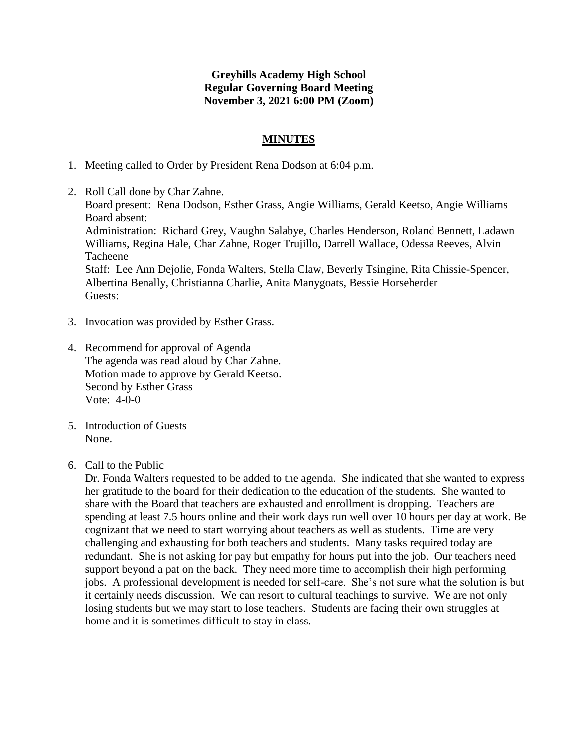## **Greyhills Academy High School Regular Governing Board Meeting November 3, 2021 6:00 PM (Zoom)**

## **MINUTES**

- 1. Meeting called to Order by President Rena Dodson at 6:04 p.m.
- 2. Roll Call done by Char Zahne. Board present: Rena Dodson, Esther Grass, Angie Williams, Gerald Keetso, Angie Williams Board absent: Administration: Richard Grey, Vaughn Salabye, Charles Henderson, Roland Bennett, Ladawn Williams, Regina Hale, Char Zahne, Roger Trujillo, Darrell Wallace, Odessa Reeves, Alvin Tacheene Staff: Lee Ann Dejolie, Fonda Walters, Stella Claw, Beverly Tsingine, Rita Chissie-Spencer, Albertina Benally, Christianna Charlie, Anita Manygoats, Bessie Horseherder Guests:
- 3. Invocation was provided by Esther Grass.
- 4. Recommend for approval of Agenda The agenda was read aloud by Char Zahne. Motion made to approve by Gerald Keetso. Second by Esther Grass Vote: 4-0-0
- 5. Introduction of Guests None.
- 6. Call to the Public

Dr. Fonda Walters requested to be added to the agenda. She indicated that she wanted to express her gratitude to the board for their dedication to the education of the students. She wanted to share with the Board that teachers are exhausted and enrollment is dropping. Teachers are spending at least 7.5 hours online and their work days run well over 10 hours per day at work. Be cognizant that we need to start worrying about teachers as well as students. Time are very challenging and exhausting for both teachers and students. Many tasks required today are redundant. She is not asking for pay but empathy for hours put into the job. Our teachers need support beyond a pat on the back. They need more time to accomplish their high performing jobs. A professional development is needed for self-care. She's not sure what the solution is but it certainly needs discussion. We can resort to cultural teachings to survive. We are not only losing students but we may start to lose teachers. Students are facing their own struggles at home and it is sometimes difficult to stay in class.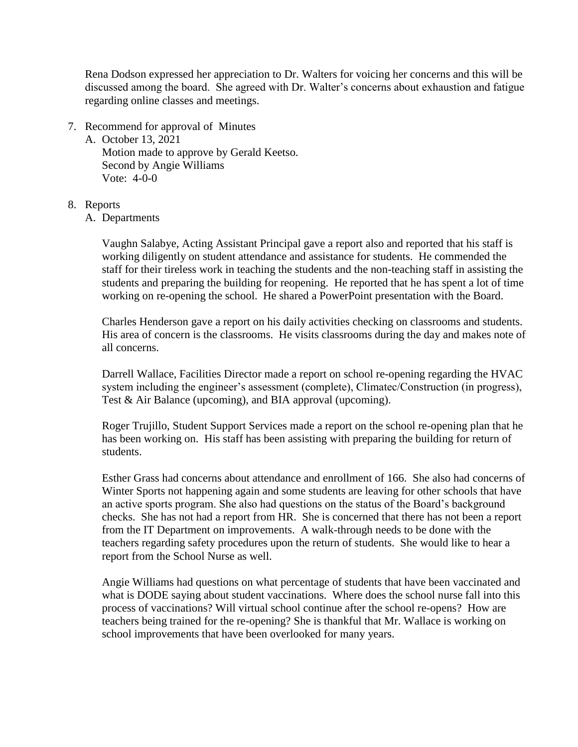Rena Dodson expressed her appreciation to Dr. Walters for voicing her concerns and this will be discussed among the board. She agreed with Dr. Walter's concerns about exhaustion and fatigue regarding online classes and meetings.

7. Recommend for approval of Minutes

A. October 13, 2021 Motion made to approve by Gerald Keetso. Second by Angie Williams Vote: 4-0-0

- 8. Reports
	- A. Departments

Vaughn Salabye, Acting Assistant Principal gave a report also and reported that his staff is working diligently on student attendance and assistance for students. He commended the staff for their tireless work in teaching the students and the non-teaching staff in assisting the students and preparing the building for reopening. He reported that he has spent a lot of time working on re-opening the school. He shared a PowerPoint presentation with the Board.

Charles Henderson gave a report on his daily activities checking on classrooms and students. His area of concern is the classrooms. He visits classrooms during the day and makes note of all concerns.

Darrell Wallace, Facilities Director made a report on school re-opening regarding the HVAC system including the engineer's assessment (complete), Climatec/Construction (in progress), Test & Air Balance (upcoming), and BIA approval (upcoming).

Roger Trujillo, Student Support Services made a report on the school re-opening plan that he has been working on. His staff has been assisting with preparing the building for return of students.

Esther Grass had concerns about attendance and enrollment of 166. She also had concerns of Winter Sports not happening again and some students are leaving for other schools that have an active sports program. She also had questions on the status of the Board's background checks. She has not had a report from HR. She is concerned that there has not been a report from the IT Department on improvements. A walk-through needs to be done with the teachers regarding safety procedures upon the return of students. She would like to hear a report from the School Nurse as well.

Angie Williams had questions on what percentage of students that have been vaccinated and what is DODE saying about student vaccinations. Where does the school nurse fall into this process of vaccinations? Will virtual school continue after the school re-opens? How are teachers being trained for the re-opening? She is thankful that Mr. Wallace is working on school improvements that have been overlooked for many years.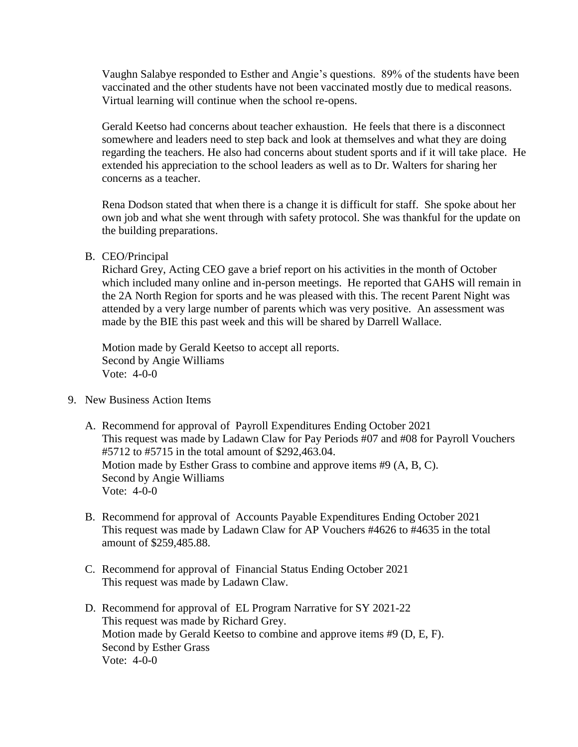Vaughn Salabye responded to Esther and Angie's questions. 89% of the students have been vaccinated and the other students have not been vaccinated mostly due to medical reasons. Virtual learning will continue when the school re-opens.

Gerald Keetso had concerns about teacher exhaustion. He feels that there is a disconnect somewhere and leaders need to step back and look at themselves and what they are doing regarding the teachers. He also had concerns about student sports and if it will take place. He extended his appreciation to the school leaders as well as to Dr. Walters for sharing her concerns as a teacher.

Rena Dodson stated that when there is a change it is difficult for staff. She spoke about her own job and what she went through with safety protocol. She was thankful for the update on the building preparations.

B. CEO/Principal

Richard Grey, Acting CEO gave a brief report on his activities in the month of October which included many online and in-person meetings. He reported that GAHS will remain in the 2A North Region for sports and he was pleased with this. The recent Parent Night was attended by a very large number of parents which was very positive. An assessment was made by the BIE this past week and this will be shared by Darrell Wallace.

Motion made by Gerald Keetso to accept all reports. Second by Angie Williams Vote: 4-0-0

- 9. New Business Action Items
	- A. Recommend for approval of Payroll Expenditures Ending October 2021 This request was made by Ladawn Claw for Pay Periods #07 and #08 for Payroll Vouchers #5712 to #5715 in the total amount of \$292,463.04. Motion made by Esther Grass to combine and approve items #9 (A, B, C). Second by Angie Williams Vote: 4-0-0
	- B. Recommend for approval of Accounts Payable Expenditures Ending October 2021 This request was made by Ladawn Claw for AP Vouchers #4626 to #4635 in the total amount of \$259,485.88.
	- C. Recommend for approval of Financial Status Ending October 2021 This request was made by Ladawn Claw.
	- D. Recommend for approval of EL Program Narrative for SY 2021-22 This request was made by Richard Grey. Motion made by Gerald Keetso to combine and approve items #9 (D, E, F). Second by Esther Grass Vote: 4-0-0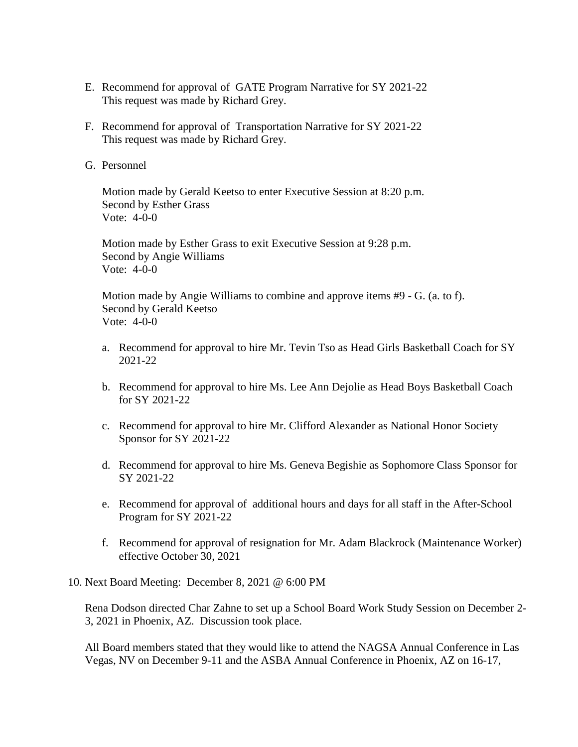- E. Recommend for approval of GATE Program Narrative for SY 2021-22 This request was made by Richard Grey.
- F. Recommend for approval of Transportation Narrative for SY 2021-22 This request was made by Richard Grey.
- G. Personnel

Motion made by Gerald Keetso to enter Executive Session at 8:20 p.m. Second by Esther Grass Vote: 4-0-0

Motion made by Esther Grass to exit Executive Session at 9:28 p.m. Second by Angie Williams Vote: 4-0-0

Motion made by Angie Williams to combine and approve items #9 - G. (a. to f). Second by Gerald Keetso Vote: 4-0-0

- a. Recommend for approval to hire Mr. Tevin Tso as Head Girls Basketball Coach for SY 2021-22
- b. Recommend for approval to hire Ms. Lee Ann Dejolie as Head Boys Basketball Coach for SY 2021-22
- c. Recommend for approval to hire Mr. Clifford Alexander as National Honor Society Sponsor for SY 2021-22
- d. Recommend for approval to hire Ms. Geneva Begishie as Sophomore Class Sponsor for SY 2021-22
- e. Recommend for approval of additional hours and days for all staff in the After-School Program for SY 2021-22
- f. Recommend for approval of resignation for Mr. Adam Blackrock (Maintenance Worker) effective October 30, 2021
- 10. Next Board Meeting: December 8, 2021 @ 6:00 PM

Rena Dodson directed Char Zahne to set up a School Board Work Study Session on December 2- 3, 2021 in Phoenix, AZ. Discussion took place.

All Board members stated that they would like to attend the NAGSA Annual Conference in Las Vegas, NV on December 9-11 and the ASBA Annual Conference in Phoenix, AZ on 16-17,